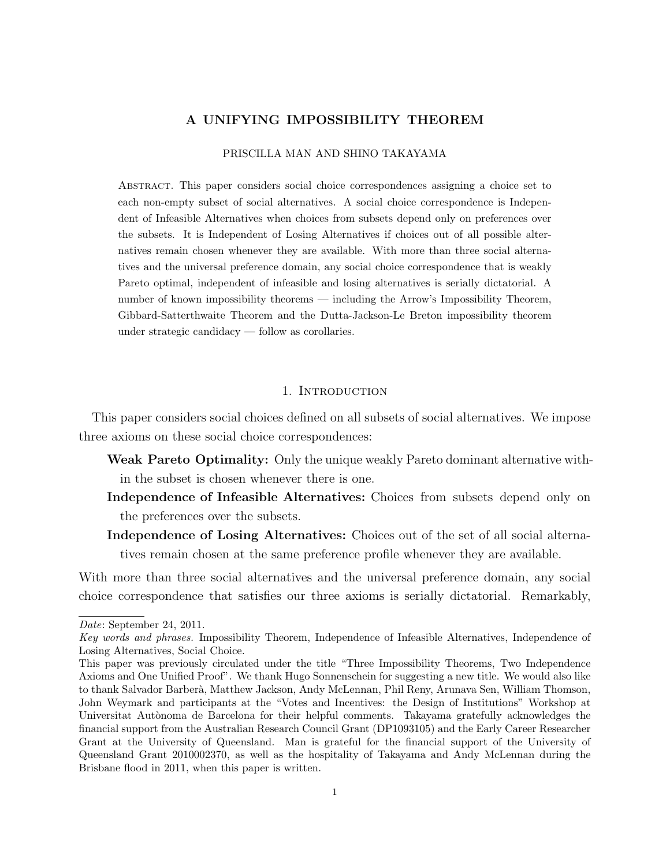# A UNIFYING IMPOSSIBILITY THEOREM

#### PRISCILLA MAN AND SHINO TAKAYAMA

Abstract. This paper considers social choice correspondences assigning a choice set to each non-empty subset of social alternatives. A social choice correspondence is Independent of Infeasible Alternatives when choices from subsets depend only on preferences over the subsets. It is Independent of Losing Alternatives if choices out of all possible alternatives remain chosen whenever they are available. With more than three social alternatives and the universal preference domain, any social choice correspondence that is weakly Pareto optimal, independent of infeasible and losing alternatives is serially dictatorial. A number of known impossibility theorems — including the Arrow's Impossibility Theorem, Gibbard-Satterthwaite Theorem and the Dutta-Jackson-Le Breton impossibility theorem under strategic candidacy — follow as corollaries.

# 1. INTRODUCTION

This paper considers social choices defined on all subsets of social alternatives. We impose three axioms on these social choice correspondences:

- Weak Pareto Optimality: Only the unique weakly Pareto dominant alternative within the subset is chosen whenever there is one.
- Independence of Infeasible Alternatives: Choices from subsets depend only on the preferences over the subsets.
- Independence of Losing Alternatives: Choices out of the set of all social alternatives remain chosen at the same preference profile whenever they are available.

With more than three social alternatives and the universal preference domain, any social choice correspondence that satisfies our three axioms is serially dictatorial. Remarkably,

Date: September 24, 2011.

Key words and phrases. Impossibility Theorem, Independence of Infeasible Alternatives, Independence of Losing Alternatives, Social Choice.

This paper was previously circulated under the title "Three Impossibility Theorems, Two Independence Axioms and One Unified Proof". We thank Hugo Sonnenschein for suggesting a new title. We would also like to thank Salvador Barber`a, Matthew Jackson, Andy McLennan, Phil Reny, Arunava Sen, William Thomson, John Weymark and participants at the "Votes and Incentives: the Design of Institutions" Workshop at Universitat Autònoma de Barcelona for their helpful comments. Takayama gratefully acknowledges the financial support from the Australian Research Council Grant (DP1093105) and the Early Career Researcher Grant at the University of Queensland. Man is grateful for the financial support of the University of Queensland Grant 2010002370, as well as the hospitality of Takayama and Andy McLennan during the Brisbane flood in 2011, when this paper is written.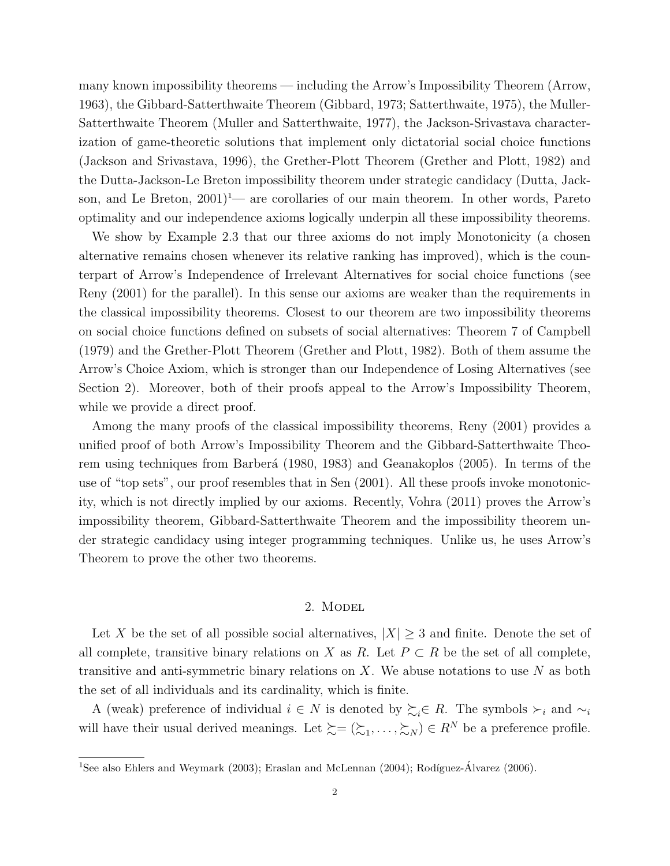many known impossibility theorems — including the Arrow's Impossibility Theorem (Arrow, 1963), the Gibbard-Satterthwaite Theorem (Gibbard, 1973; Satterthwaite, 1975), the Muller-Satterthwaite Theorem (Muller and Satterthwaite, 1977), the Jackson-Srivastava characterization of game-theoretic solutions that implement only dictatorial social choice functions (Jackson and Srivastava, 1996), the Grether-Plott Theorem (Grether and Plott, 1982) and the Dutta-Jackson-Le Breton impossibility theorem under strategic candidacy (Dutta, Jackson, and Le Breton,  $2001$ <sup>1</sup>— are corollaries of our main theorem. In other words, Pareto optimality and our independence axioms logically underpin all these impossibility theorems.

We show by Example 2.3 that our three axioms do not imply Monotonicity (a chosen alternative remains chosen whenever its relative ranking has improved), which is the counterpart of Arrow's Independence of Irrelevant Alternatives for social choice functions (see Reny (2001) for the parallel). In this sense our axioms are weaker than the requirements in the classical impossibility theorems. Closest to our theorem are two impossibility theorems on social choice functions defined on subsets of social alternatives: Theorem 7 of Campbell (1979) and the Grether-Plott Theorem (Grether and Plott, 1982). Both of them assume the Arrow's Choice Axiom, which is stronger than our Independence of Losing Alternatives (see Section 2). Moreover, both of their proofs appeal to the Arrow's Impossibility Theorem, while we provide a direct proof.

Among the many proofs of the classical impossibility theorems, Reny (2001) provides a unified proof of both Arrow's Impossibility Theorem and the Gibbard-Satterthwaite Theorem using techniques from Barberá (1980, 1983) and Geanakoplos (2005). In terms of the use of "top sets", our proof resembles that in Sen (2001). All these proofs invoke monotonicity, which is not directly implied by our axioms. Recently, Vohra (2011) proves the Arrow's impossibility theorem, Gibbard-Satterthwaite Theorem and the impossibility theorem under strategic candidacy using integer programming techniques. Unlike us, he uses Arrow's Theorem to prove the other two theorems.

# 2. Model

Let X be the set of all possible social alternatives,  $|X| \geq 3$  and finite. Denote the set of all complete, transitive binary relations on X as R. Let  $P \subset R$  be the set of all complete, transitive and anti-symmetric binary relations on X. We abuse notations to use  $N$  as both the set of all individuals and its cardinality, which is finite.

A (weak) preference of individual  $i \in N$  is denoted by  $\sum_i \in R$ . The symbols  $\succ_i$  and  $\sim_i$ will have their usual derived meanings. Let  $\succsim = (\succsim_1, \ldots, \succsim_N) \in R^N$  be a preference profile.

 $\overline{^{1}$ See also Ehlers and Weymark (2003); Eraslan and McLennan (2004); Rodíguez-Álvarez (2006).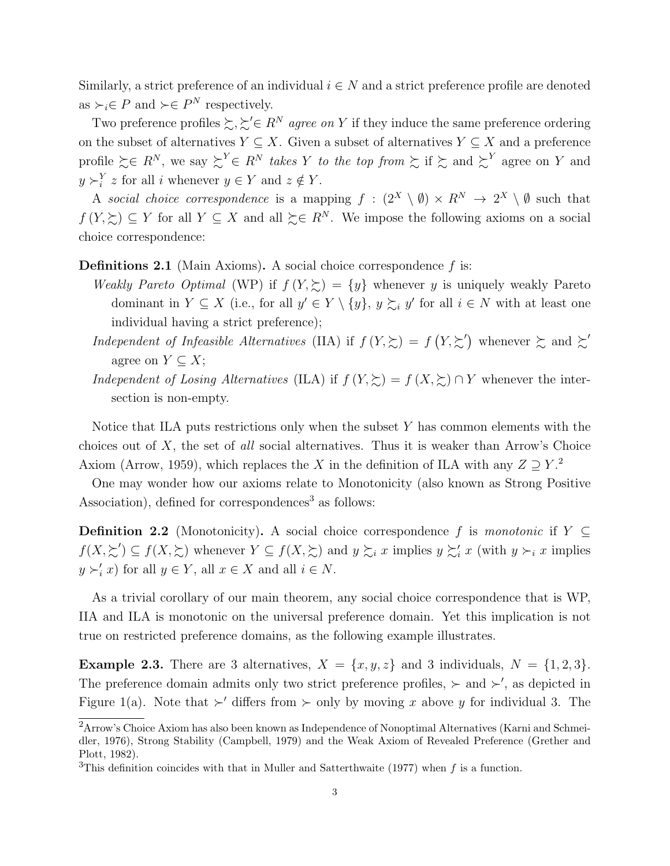Similarly, a strict preference of an individual  $i \in N$  and a strict preference profile are denoted as  $\succ_i \in P$  and  $\succ \in P^N$  respectively.

Two preference profiles  $\succsim, \succsim' \in R^N$  agree on Y if they induce the same preference ordering on the subset of alternatives  $Y \subseteq X$ . Given a subset of alternatives  $Y \subseteq X$  and a preference profile  $\succsim \in R^N$ , we say  $\succsim^Y \in R^N$  takes Y to the top from  $\succsim$  if  $\succsim$  and  $\succsim^Y$  agree on Y and  $y \succ_i^Y z$  for all i whenever  $y \in Y$  and  $z \notin Y$ .

A social choice correspondence is a mapping  $f : (2^X \setminus \emptyset) \times R^N \to 2^X \setminus \emptyset$  such that  $f(Y,\succsim) \subseteq Y$  for all  $Y \subseteq X$  and all  $\succsim \in R^N$ . We impose the following axioms on a social choice correspondence:

**Definitions 2.1** (Main Axioms). A social choice correspondence  $f$  is:

- Weakly Pareto Optimal (WP) if  $f(Y,\succsim) = \{y\}$  whenever y is uniquely weakly Pareto dominant in  $Y \subseteq X$  (i.e., for all  $y' \in Y \setminus \{y\}$ ,  $y \succsim_i y'$  for all  $i \in N$  with at least one individual having a strict preference);
- Independent of Infeasible Alternatives (IIA) if  $f(Y,\succsim) = f(Y,\succsim')$  whenever  $\succsim$  and  $\succsim'$ agree on  $Y \subseteq X$ ;
- Independent of Losing Alternatives (ILA) if  $f(Y,\succsim) = f(X,\succsim) \cap Y$  whenever the intersection is non-empty.

Notice that ILA puts restrictions only when the subset Y has common elements with the choices out of  $X$ , the set of all social alternatives. Thus it is weaker than Arrow's Choice Axiom (Arrow, 1959), which replaces the X in the definition of ILA with any  $Z \supseteq Y$ .

One may wonder how our axioms relate to Monotonicity (also known as Strong Positive Association), defined for correspondences<sup>3</sup> as follows:

**Definition 2.2** (Monotonicity). A social choice correspondence f is monotonic if  $Y \subseteq$  $f(X,\succeq') \subseteq f(X,\succeq)$  whenever  $Y \subseteq f(X,\succeq)$  and  $y \succsim_i x$  implies  $y \succsim_i x$  (with  $y \succ_i x$  implies  $y \succ_i' x$  for all  $y \in Y$ , all  $x \in X$  and all  $i \in N$ .

As a trivial corollary of our main theorem, any social choice correspondence that is WP, IIA and ILA is monotonic on the universal preference domain. Yet this implication is not true on restricted preference domains, as the following example illustrates.

**Example 2.3.** There are 3 alternatives,  $X = \{x, y, z\}$  and 3 individuals,  $N = \{1, 2, 3\}$ . The preference domain admits only two strict preference profiles,  $\succ$  and  $\succ'$ , as depicted in Figure 1(a). Note that  $\succ'$  differs from  $\succ$  only by moving x above y for individual 3. The

<sup>2</sup>Arrow's Choice Axiom has also been known as Independence of Nonoptimal Alternatives (Karni and Schmeidler, 1976), Strong Stability (Campbell, 1979) and the Weak Axiom of Revealed Preference (Grether and Plott, 1982).

<sup>3</sup>This definition coincides with that in Muller and Satterthwaite (1977) when f is a function.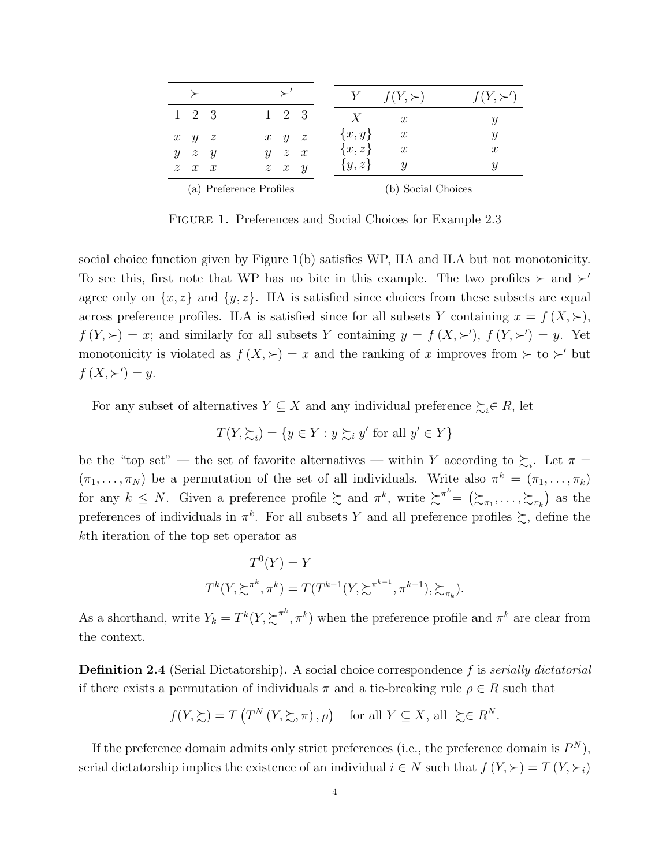|                         |                     |  |  |  |                     |  |                  | $f(Y,\succ)$              | $f(Y, \succ')$   |
|-------------------------|---------------------|--|--|--|---------------------|--|------------------|---------------------------|------------------|
|                         | $1 \t2 \t3$         |  |  |  | $1 \t2 \t3$         |  | $\boldsymbol{X}$ | $\mathcal{X}$             |                  |
|                         | $x \quad y \quad z$ |  |  |  | $x \quad y \quad z$ |  | $\{x,y\}$        | $\boldsymbol{x}$          | Y                |
|                         | $y \quad z \quad y$ |  |  |  | $y \quad z \quad x$ |  | $\{x,z\}$        | $\boldsymbol{x}$          | $\boldsymbol{x}$ |
|                         | $z \quad x \quad x$ |  |  |  | $z \quad x \quad y$ |  | $\{y,z\}$        | $\boldsymbol{\mathit{u}}$ | Y                |
| (a) Preference Profiles |                     |  |  |  |                     |  |                  | (b) Social Choices        |                  |

FIGURE 1. Preferences and Social Choices for Example 2.3

social choice function given by Figure 1(b) satisfies WP, IIA and ILA but not monotonicity. To see this, first note that WP has no bite in this example. The two profiles  $\succ$  and  $\succ'$ agree only on  $\{x, z\}$  and  $\{y, z\}$ . IIA is satisfied since choices from these subsets are equal across preference profiles. ILA is satisfied since for all subsets Y containing  $x = f(X, \succ),$  $f(Y, \succ) = x$ ; and similarly for all subsets Y containing  $y = f(X, \succ')$ ,  $f(Y, \succ') = y$ . Yet monotonicity is violated as  $f(X, \geq) = x$  and the ranking of x improves from  $\succ$  to  $\succ'$  but  $f(X, \succ') = y.$ 

For any subset of alternatives  $Y \subseteq X$  and any individual preference  $\succsim_i \in R$ , let

$$
T(Y, \succsim_i) = \{ y \in Y : y \succsim_i y' \text{ for all } y' \in Y \}
$$

be the "top set" — the set of favorite alternatives — within Y according to  $\sum_i$ . Let  $\pi$  =  $(\pi_1, \ldots, \pi_N)$  be a permutation of the set of all individuals. Write also  $\pi^k = (\pi_1, \ldots, \pi_k)$ for any  $k \leq N$ . Given a preference profile  $\sum$  and  $\pi^k$ , write  $\sum^{\pi^k} = (\sum_{\pi_1}, \ldots, \sum_{\pi_k})$  as the preferences of individuals in  $\pi^k$ . For all subsets Y and all preference profiles  $\succsim$ , define the kth iteration of the top set operator as

$$
T^{0}(Y) = Y
$$
  

$$
T^{k}(Y, \sum^{\pi^{k}}, \pi^{k}) = T(T^{k-1}(Y, \sum^{\pi^{k-1}}, \pi^{k-1}), \sum_{\pi^{k}}).
$$

As a shorthand, write  $Y_k = T^k(Y, \sum^{n^k} \pi^k)$  when the preference profile and  $\pi^k$  are clear from the context.

**Definition 2.4** (Serial Dictatorship). A social choice correspondence f is *serially dictatorial* if there exists a permutation of individuals  $\pi$  and a tie-breaking rule  $\rho \in R$  such that

$$
f(Y, \succeq) = T(T^N(Y, \succeq, \pi), \rho)
$$
 for all  $Y \subseteq X$ , all  $\succeq \in R^N$ .

If the preference domain admits only strict preferences (i.e., the preference domain is  $P^N$ ), serial dictatorship implies the existence of an individual  $i \in N$  such that  $f(Y, \succ) = T(Y, \succ_i)$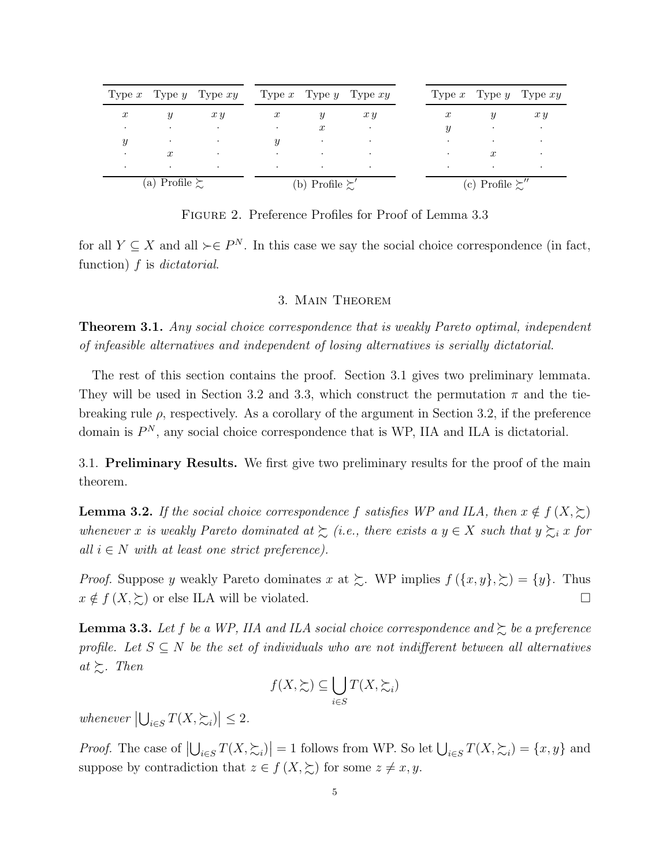|                  |                        | Type x Type y Type $xy$ Type x Type y Type $xy$ |                   |                         |                          |  |                             |                  | Type $x$ Type $y$ Type $xy$ |
|------------------|------------------------|-------------------------------------------------|-------------------|-------------------------|--------------------------|--|-----------------------------|------------------|-----------------------------|
| $\boldsymbol{x}$ | Y                      | x y                                             | $\boldsymbol{x}$  |                         | x y                      |  | $\boldsymbol{x}$            |                  | x y                         |
| $\cdot$          | $\bullet$              | $\bullet$                                       | $\bullet$         | $\boldsymbol{x}$        | $\bullet$                |  | $\boldsymbol{y}$            | $\cdot$          | $\sim 100$ $\mu$            |
| $\boldsymbol{y}$ |                        | $\cdot$                                         | $\boldsymbol{y}$  | $\cdot$                 | $\sim$                   |  | $\bullet$                   |                  | $\bullet$                   |
| $\bullet$        | $\boldsymbol{x}$       | <b>Contract Contract</b>                        | <b>Contractor</b> | <b>Contract</b>         | <b>Contract Contract</b> |  | $\bullet$                   | $\boldsymbol{x}$ | $\bullet$                   |
|                  | $\cdot$                | $\cdot$                                         | $\bullet$         | $\bullet$               | $\cdot$                  |  | $\bullet$                   |                  | ٠                           |
|                  | (a) Profile $\succsim$ |                                                 |                   | (b) Profile $\succsim'$ |                          |  | (c) Profile $\succcurlyeq'$ |                  |                             |

Figure 2. Preference Profiles for Proof of Lemma 3.3

for all  $Y \subseteq X$  and all  $\succ \in P^N$ . In this case we say the social choice correspondence (in fact, function)  $f$  is *dictatorial*.

#### 3. Main Theorem

**Theorem 3.1.** Any social choice correspondence that is weakly Pareto optimal, independent of infeasible alternatives and independent of losing alternatives is serially dictatorial.

The rest of this section contains the proof. Section 3.1 gives two preliminary lemmata. They will be used in Section 3.2 and 3.3, which construct the permutation  $\pi$  and the tiebreaking rule  $\rho$ , respectively. As a corollary of the argument in Section 3.2, if the preference domain is  $P^N$ , any social choice correspondence that is WP, IIA and ILA is dictatorial.

3.1. Preliminary Results. We first give two preliminary results for the proof of the main theorem.

**Lemma 3.2.** If the social choice correspondence f satisfies WP and ILA, then  $x \notin f(X, \succcurlyeq)$ whenever x is weakly Pareto dominated at  $\sum$  (i.e., there exists a  $y \in X$  such that  $y \sum_i x$  for all  $i \in N$  with at least one strict preference).

*Proof.* Suppose y weakly Pareto dominates x at  $\gtrsim$ . WP implies  $f(\lbrace x, y \rbrace, \gtrsim) = \lbrace y \rbrace$ . Thus  $x \notin f(X, \succsim)$  or else ILA will be violated.

**Lemma 3.3.** Let f be a WP, IIA and ILA social choice correspondence and  $\gtrsim$  be a preference profile. Let  $S \subseteq N$  be the set of individuals who are not indifferent between all alternatives at  $\succsim$ . Then

$$
f(X, \succsim) \subseteq \bigcup_{i \in S} T(X, \succsim_i)
$$

whenever  $\left|\bigcup_{i\in S} T(X,\succsim_i)\right| \leq 2$ .

*Proof.* The case of  $\left|\bigcup_{i\in S} T(X,\succsim_i)\right|=1$  follows from WP. So let  $\bigcup_{i\in S} T(X,\succsim_i)=\{x,y\}$  and suppose by contradiction that  $z \in f(X, \succsim)$  for some  $z \neq x, y$ .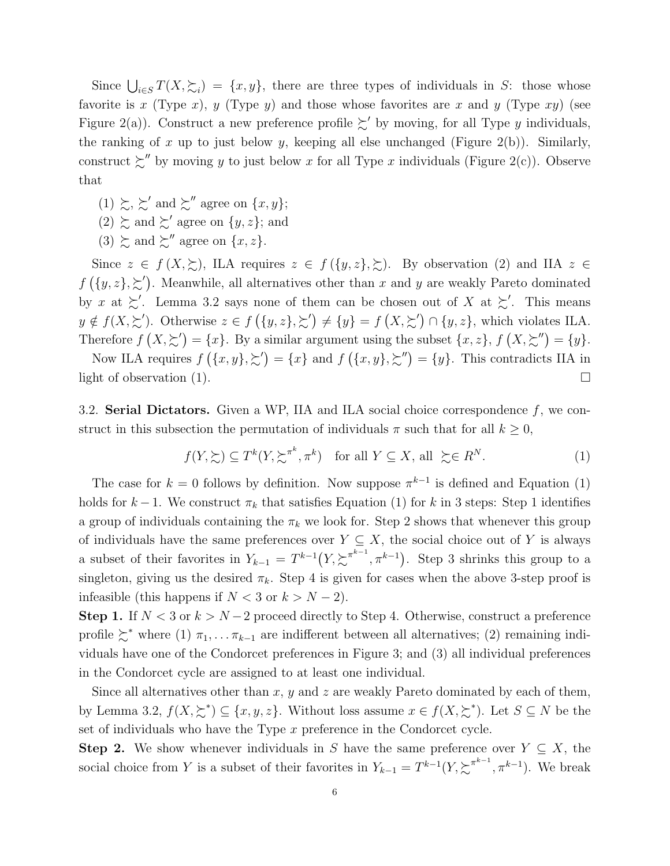Since  $\bigcup_{i\in S} T(X,\succeq_i) = \{x,y\}$ , there are three types of individuals in S: those whose favorite is x (Type x), y (Type y) and those whose favorites are x and y (Type xy) (see Figure 2(a)). Construct a new preference profile  $\succeq'$  by moving, for all Type y individuals, the ranking of x up to just below y, keeping all else unchanged (Figure 2(b)). Similarly, construct  $\gtrsim$ " by moving y to just below x for all Type x individuals (Figure 2(c)). Observe that

- $(1) \succsim, \succsim'$  and  $\succsim''$  agree on  $\{x, y\};$
- $(2) \succeq$  and  $\succeq'$  agree on  $\{y, z\}$ ; and
- $(3) \succeq$  and  $\succeq''$  agree on  $\{x, z\}.$

Since  $z \in f(X, \Sigma)$ , ILA requires  $z \in f(\lbrace y, z \rbrace, \Sigma)$ . By observation (2) and IIA  $z \in$  $f(\lbrace y, z \rbrace, \succeq')$ . Meanwhile, all alternatives other than x and y are weakly Pareto dominated by x at  $\geq'$ . Lemma 3.2 says none of them can be chosen out of X at  $\geq'$ . This means  $y \notin f(X, \succeq')$ . Otherwise  $z \in f(\{y, z\}, \succeq') \neq \{y\} = f(X, \succeq') \cap \{y, z\}$ , which violates ILA. Therefore  $f(X, \succsim') = \{x\}$ . By a similar argument using the subset  $\{x, z\}$ ,  $f(X, \succsim'') = \{y\}$ .

Now ILA requires  $f(\{x,y\},\succeq') = \{x\}$  and  $f(\{x,y\},\succeq'') = \{y\}$ . This contradicts IIA in light of observation (1).  $\Box$ 

3.2. Serial Dictators. Given a WP, IIA and ILA social choice correspondence  $f$ , we construct in this subsection the permutation of individuals  $\pi$  such that for all  $k \geq 0$ ,

$$
f(Y, \succsim) \subseteq T^k(Y, \succsim^{\pi^k}, \pi^k) \quad \text{for all } Y \subseteq X, \text{ all } \succsim \in R^N. \tag{1}
$$

The case for  $k = 0$  follows by definition. Now suppose  $\pi^{k-1}$  is defined and Equation (1) holds for  $k-1$ . We construct  $\pi_k$  that satisfies Equation (1) for k in 3 steps: Step 1 identifies a group of individuals containing the  $\pi_k$  we look for. Step 2 shows that whenever this group of individuals have the same preferences over  $Y \subseteq X$ , the social choice out of Y is always a subset of their favorites in  $Y_{k-1} = T^{k-1}(Y, \sum^{k-1} \nvert, \pi^{k-1})$ . Step 3 shrinks this group to a singleton, giving us the desired  $\pi_k$ . Step 4 is given for cases when the above 3-step proof is infeasible (this happens if  $N < 3$  or  $k > N - 2$ ).

Step 1. If  $N < 3$  or  $k > N-2$  proceed directly to Step 4. Otherwise, construct a preference profile  $\succsim^*$  where (1)  $\pi_1, \ldots, \pi_{k-1}$  are indifferent between all alternatives; (2) remaining individuals have one of the Condorcet preferences in Figure 3; and (3) all individual preferences in the Condorcet cycle are assigned to at least one individual.

Since all alternatives other than  $x, y$  and  $z$  are weakly Pareto dominated by each of them, by Lemma 3.2,  $f(X, \succsim^*) \subseteq \{x, y, z\}$ . Without loss assume  $x \in f(X, \succsim^*)$ . Let  $S \subseteq N$  be the set of individuals who have the Type  $x$  preference in the Condorcet cycle.

**Step 2.** We show whenever individuals in S have the same preference over  $Y \subseteq X$ , the social choice from Y is a subset of their favorites in  $Y_{k-1} = T^{k-1}(Y, \sum^{k-1} \nvert, \pi^{k-1})$ . We break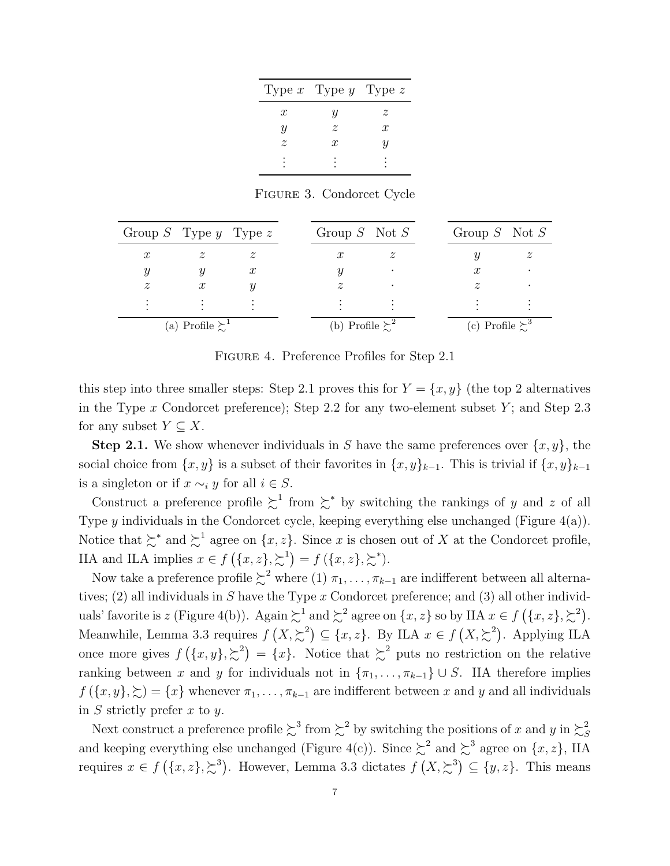|                  | Type x Type y Type z |                  |
|------------------|----------------------|------------------|
| $\boldsymbol{x}$ | IJ                   | z                |
| Y                | $\tilde{z}$          | $\boldsymbol{x}$ |
| $\tilde{z}$      | x                    | U                |
|                  |                      |                  |
|                  |                      |                  |

Figure 3. Condorcet Cycle

| Group S Type y Type z     |                                 |                  | Group $S$ Not $S$         |  | Group $S$ Not $S$        |  |
|---------------------------|---------------------------------|------------------|---------------------------|--|--------------------------|--|
| $\boldsymbol{x}$          | $\widetilde{\mathcal{Z}}$       |                  | $\boldsymbol{x}$          |  |                          |  |
|                           |                                 | $\boldsymbol{x}$ |                           |  | $\boldsymbol{x}$         |  |
| $\widetilde{\mathcal{Z}}$ | $\boldsymbol{x}$                |                  | $\widetilde{\mathcal{Z}}$ |  |                          |  |
|                           |                                 |                  |                           |  |                          |  |
|                           | (a) Profile $\sum$ <sup>1</sup> |                  | (b) Profile $\sum^2$      |  | (c) Profile $\succsim^3$ |  |

Figure 4. Preference Profiles for Step 2.1

this step into three smaller steps: Step 2.1 proves this for  $Y = \{x, y\}$  (the top 2 alternatives in the Type x Condorcet preference); Step 2.2 for any two-element subset  $Y$ ; and Step 2.3 for any subset  $Y \subseteq X$ .

**Step 2.1.** We show whenever individuals in S have the same preferences over  $\{x, y\}$ , the social choice from  $\{x, y\}$  is a subset of their favorites in  $\{x, y\}_{k-1}$ . This is trivial if  $\{x, y\}_{k-1}$ is a singleton or if  $x \sim_i y$  for all  $i \in S$ .

Construct a preference profile  $\sum^1$  from  $\sum^*$  by switching the rankings of y and z of all Type y individuals in the Condorcet cycle, keeping everything else unchanged (Figure 4(a)). Notice that  $\succsim^*$  and  $\succsim^1$  agree on  $\{x, z\}$ . Since x is chosen out of X at the Condorcet profile, IIA and ILA implies  $x \in f(\lbrace x, z \rbrace, \succsim^1) = f(\lbrace x, z \rbrace, \succsim^*).$ 

Now take a preference profile  $\succsim^2$  where (1)  $\pi_1, \ldots, \pi_{k-1}$  are indifferent between all alternatives; (2) all individuals in S have the Type x Condorcet preference; and (3) all other individuals' favorite is z (Figure 4(b)). Again  $\sum^1$  and  $\sum^2$  agree on  $\{x, z\}$  so by IIA  $x \in f(\{x, z\}, \sum^2)$ . Meanwhile, Lemma 3.3 requires  $f(X, \geq^2) \subseteq \{x, z\}$ . By ILA  $x \in f(X, \geq^2)$ . Applying ILA once more gives  $f(\lbrace x,y \rbrace,\gtrsim^2) = \lbrace x \rbrace$ . Notice that  $\gtrsim^2$  puts no restriction on the relative ranking between x and y for individuals not in  $\{\pi_1, \ldots, \pi_{k-1}\} \cup S$ . IIA therefore implies  $f(\{x, y\}, \succeq) = \{x\}$  whenever  $\pi_1, \ldots, \pi_{k-1}$  are indifferent between x and y and all individuals in  $S$  strictly prefer  $x$  to  $y$ .

Next construct a preference profile  $\lesssim^3$  from  $\lesssim^2$  by switching the positions of x and y in  $\lesssim^2$ S and keeping everything else unchanged (Figure 4(c)). Since  $\gtrsim^2$  and  $\gtrsim^3$  agree on  $\{x, z\}$ , IIA requires  $x \in f(\lbrace x,z \rbrace, \gtrsim^3)$ . However, Lemma 3.3 dictates  $f(X, \gtrsim^3) \subseteq \lbrace y,z \rbrace$ . This means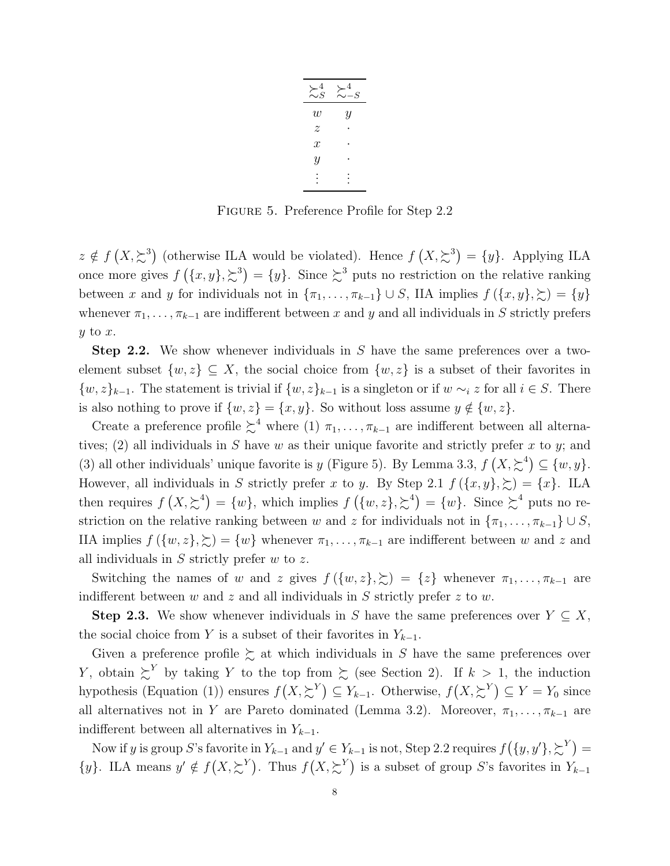| $\succsim_S^4$   | $-S$ |
|------------------|------|
| W                | Y    |
| $\overline{z}$   |      |
| $\boldsymbol{x}$ |      |
| Y                |      |
|                  |      |

Figure 5. Preference Profile for Step 2.2

 $z \notin f(X, \geq^3)$  (otherwise ILA would be violated). Hence  $f(X, \geq^3) = \{y\}$ . Applying ILA once more gives  $f(\lbrace x,y \rbrace, \succeq^3) = \lbrace y \rbrace$ . Since  $\succeq^3$  puts no restriction on the relative ranking between x and y for individuals not in  $\{\pi_1, \ldots, \pi_{k-1}\} \cup S$ , IIA implies  $f(\{x, y\}, \succsim) = \{y\}$ whenever  $\pi_1, \ldots, \pi_{k-1}$  are indifferent between x and y and all individuals in S strictly prefers  $y$  to  $x$ .

Step 2.2. We show whenever individuals in S have the same preferences over a twoelement subset  $\{w, z\} \subseteq X$ , the social choice from  $\{w, z\}$  is a subset of their favorites in  $\{w, z\}_{k-1}$ . The statement is trivial if  $\{w, z\}_{k-1}$  is a singleton or if  $w \sim_i z$  for all  $i \in S$ . There is also nothing to prove if  $\{w, z\} = \{x, y\}$ . So without loss assume  $y \notin \{w, z\}$ .

Create a preference profile  $\succsim^4$  where (1)  $\pi_1, \ldots, \pi_{k-1}$  are indifferent between all alternatives; (2) all individuals in S have w as their unique favorite and strictly prefer x to y; and (3) all other individuals' unique favorite is y (Figure 5). By Lemma 3.3,  $f(X, \geq^4) \subseteq \{w, y\}$ . However, all individuals in S strictly prefer x to y. By Step 2.1  $f(\{x, y\}, \geq) = \{x\}$ . ILA then requires  $f(X, \geq^4) = \{w\}$ , which implies  $f(\{w, z\}, \geq^4) = \{w\}$ . Since  $\geq^4$  puts no restriction on the relative ranking between w and z for individuals not in  $\{\pi_1, \ldots, \pi_{k-1}\} \cup S$ , IIA implies  $f(\{w, z\}, \geq) = \{w\}$  whenever  $\pi_1, \ldots, \pi_{k-1}$  are indifferent between w and z and all individuals in  $S$  strictly prefer  $w$  to  $z$ .

Switching the names of w and z gives  $f(\{w, z\}, \geq) = \{z\}$  whenever  $\pi_1, \ldots, \pi_{k-1}$  are indifferent between  $w$  and  $z$  and all individuals in  $S$  strictly prefer  $z$  to  $w$ .

**Step 2.3.** We show whenever individuals in S have the same preferences over  $Y \subseteq X$ , the social choice from Y is a subset of their favorites in  $Y_{k-1}$ .

Given a preference profile  $\succsim$  at which individuals in S have the same preferences over Y, obtain  $\sum^{Y}$  by taking Y to the top from  $\sum$  (see Section 2). If  $k > 1$ , the induction hypothesis (Equation (1)) ensures  $f(X, \sum^{Y}) \subseteq Y_{k-1}$ . Otherwise,  $f(X, \sum^{Y}) \subseteq Y = Y_0$  since all alternatives not in Y are Pareto dominated (Lemma 3.2). Moreover,  $\pi_1, \ldots, \pi_{k-1}$  are indifferent between all alternatives in  $Y_{k-1}$ .

Now if y is group S's favorite in  $Y_{k-1}$  and  $y' \in Y_{k-1}$  is not, Step 2.2 requires  $f(\lbrace y, y' \rbrace, \gtrsim^{Y}) =$  $\{y\}$ . ILA means  $y' \notin f(X, \sum^Y)$ . Thus  $f(X, \sum^Y)$  is a subset of group S's favorites in  $Y_{k-1}$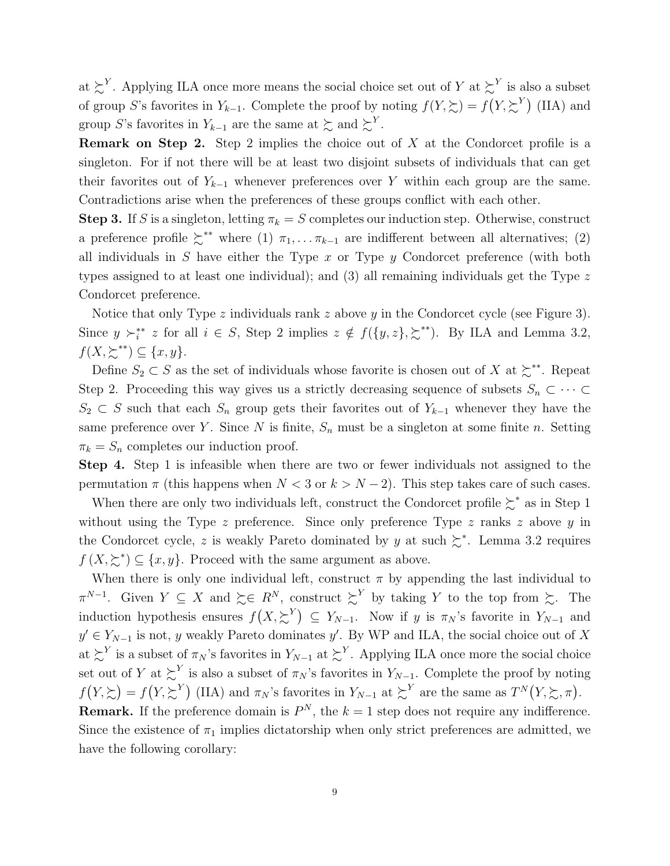at  $\succsim^{Y}$ . Applying ILA once more means the social choice set out of Y at  $\succsim^{Y}$  is also a subset of group S's favorites in  $Y_{k-1}$ . Complete the proof by noting  $f(Y,\succsim) = f(Y,\succsim^Y)$  (IIA) and group S's favorites in  $Y_{k-1}$  are the same at  $\succsim$  and  $\succsim^Y$ .

**Remark on Step 2.** Step 2 implies the choice out of  $X$  at the Condorcet profile is a singleton. For if not there will be at least two disjoint subsets of individuals that can get their favorites out of  $Y_{k-1}$  whenever preferences over Y within each group are the same. Contradictions arise when the preferences of these groups conflict with each other.

**Step 3.** If S is a singleton, letting  $\pi_k = S$  completes our induction step. Otherwise, construct a preference profile  $\zeta^{**}$  where (1)  $\pi_1, \ldots, \pi_{k-1}$  are indifferent between all alternatives; (2) all individuals in S have either the Type  $x$  or Type  $y$  Condorcet preference (with both types assigned to at least one individual); and  $(3)$  all remaining individuals get the Type z Condorcet preference.

Notice that only Type z individuals rank z above y in the Condorcet cycle (see Figure 3). Since  $y \succ_i^{**} z$  for all  $i \in S$ , Step 2 implies  $z \notin f({y,z},\succcurlyeq^{**})$ . By ILA and Lemma 3.2,  $f(X, \succsim^{**}) \subseteq \{x, y\}.$ 

Define  $S_2 \subset S$  as the set of individuals whose favorite is chosen out of X at  $\succsim^*$ . Repeat Step 2. Proceeding this way gives us a strictly decreasing sequence of subsets  $S_n \subset \cdots \subset$  $S_2 \subset S$  such that each  $S_n$  group gets their favorites out of  $Y_{k-1}$  whenever they have the same preference over Y. Since N is finite,  $S_n$  must be a singleton at some finite n. Setting  $\pi_k = S_n$  completes our induction proof.

Step 4. Step 1 is infeasible when there are two or fewer individuals not assigned to the permutation  $\pi$  (this happens when  $N < 3$  or  $k > N - 2$ ). This step takes care of such cases.

When there are only two individuals left, construct the Condorcet profile  $\succeq^*$  as in Step 1 without using the Type  $z$  preference. Since only preference Type  $z$  ranks  $z$  above  $y$  in the Condorcet cycle, z is weakly Pareto dominated by y at such  $\geq^*$ . Lemma 3.2 requires  $f(X, \geq^*) \subseteq \{x, y\}.$  Proceed with the same argument as above.

When there is only one individual left, construct  $\pi$  by appending the last individual to  $\pi^{N-1}$ . Given  $Y \subseteq X$  and  $\succeq \in R^N$ , construct  $\succeq^Y$  by taking Y to the top from  $\succeq$ . The induction hypothesis ensures  $f(X, \sum^Y) \subseteq Y_{N-1}$ . Now if y is  $\pi_N$ 's favorite in  $Y_{N-1}$  and  $y' \in Y_{N-1}$  is not, y weakly Pareto dominates y'. By WP and ILA, the social choice out of X at  $\succsim^{Y}$  is a subset of  $\pi_N$ 's favorites in  $Y_{N-1}$  at  $\succsim^{Y}$ . Applying ILA once more the social choice set out of Y at  $\succsim^Y$  is also a subset of  $\pi_N$ 's favorites in  $Y_{N-1}$ . Complete the proof by noting  $f(Y,\succsim) = f(Y,\succsim^Y)$  (IIA) and  $\pi_N$ 's favorites in  $Y_{N-1}$  at  $\succsim^Y$  are the same as  $T^N(Y,\succsim,\pi)$ . **Remark.** If the preference domain is  $P^N$ , the  $k = 1$  step does not require any indifference. Since the existence of  $\pi_1$  implies dictatorship when only strict preferences are admitted, we

have the following corollary: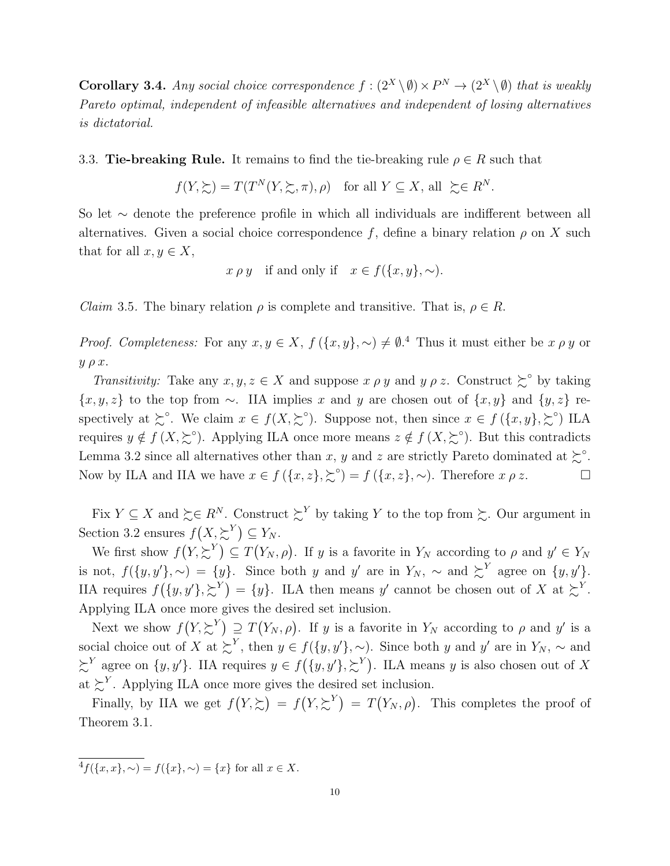**Corollary 3.4.** Any social choice correspondence  $f : (2^X \setminus \emptyset) \times P^N \to (2^X \setminus \emptyset)$  that is weakly Pareto optimal, independent of infeasible alternatives and independent of losing alternatives is dictatorial.

### 3.3. Tie-breaking Rule. It remains to find the tie-breaking rule  $\rho \in R$  such that

$$
f(Y, \succeq) = T(T^N(Y, \succeq, \pi), \rho)
$$
 for all  $Y \subseteq X$ , all  $\succeq \in R^N$ .

So let ∼ denote the preference profile in which all individuals are indifferent between all alternatives. Given a social choice correspondence f, define a binary relation  $\rho$  on X such that for all  $x, y \in X$ ,

$$
x \rho y
$$
 if and only if  $x \in f(\{x, y\}, \sim)$ .

*Claim* 3.5. The binary relation  $\rho$  is complete and transitive. That is,  $\rho \in R$ .

*Proof. Completeness:* For any  $x, y \in X$ ,  $f(\lbrace x, y \rbrace, \sim) \neq \emptyset$ .<sup>4</sup> Thus it must either be  $x \rho y$  or  $y \rho x$ .

Transitivity: Take any  $x, y, z \in X$  and suppose  $x \rho y$  and  $y \rho z$ . Construct  $\sum^{\infty}$  by taking  ${x, y, z}$  to the top from ∼. IIA implies x and y are chosen out of  ${x, y}$  and  ${y, z}$  respectively at  $\succsim^{\circ}$ . We claim  $x \in f(X, \succsim^{\circ})$ . Suppose not, then since  $x \in f(\lbrace x, y \rbrace, \succsim^{\circ} \rbrace$  ILA requires  $y \notin f(X, \geq^{\circ})$ . Applying ILA once more means  $z \notin f(X, \geq^{\circ})$ . But this contradicts Lemma 3.2 since all alternatives other than x, y and z are strictly Pareto dominated at  $\gtrsim$ <sup>o</sup>. Now by ILA and IIA we have  $x \in f(\{x, z\}, \geq^{\circ}) = f(\{x, z\}, \sim)$ . Therefore  $x \rho z$ .

Fix  $Y \subseteq X$  and  $\succeq \in R^N$ . Construct  $\succeq^Y$  by taking Y to the top from  $\succeq$ . Our argument in Section 3.2 ensures  $f(X, \succsim^Y) \subseteq Y_N$ .

We first show  $f(Y, \sum^{Y}) \subseteq T(Y_N, \rho)$ . If y is a favorite in  $Y_N$  according to  $\rho$  and  $y' \in Y_N$ is not,  $f(\{y, y'\}, \sim) = \{y\}.$  Since both y and y' are in  $Y_N$ ,  $\sim$  and  $\sum^{Y}$  agree on  $\{y, y'\}.$ IIA requires  $f({y,y'},\xi^Y) = {y}.$  ILA then means y' cannot be chosen out of X at  $\xi^Y$ . Applying ILA once more gives the desired set inclusion.

Next we show  $f(Y, \succsim^Y) \supseteq T(Y_N, \rho)$ . If y is a favorite in  $Y_N$  according to  $\rho$  and y' is a social choice out of X at  $\succsim^Y$ , then  $y \in f({y, y', \sim})$ . Since both y and y' are in  $Y_N$ ,  $\sim$  and  $\sum^{Y}$  agree on  $\{y, y'\}$ . IIA requires  $y \in f(\{y, y'\}, \sum^{Y})$ . ILA means y is also chosen out of X at  $\zeta^{Y}$ . Applying ILA once more gives the desired set inclusion.

Finally, by IIA we get  $f(Y,\succsim) = f(Y,\succsim^Y) = T(Y_N,\rho)$ . This completes the proof of Theorem 3.1.

 ${}^{4}f(\{x,x\},\sim)=f(\{x\},\sim)=\{x\}$  for all  $x\in X$ .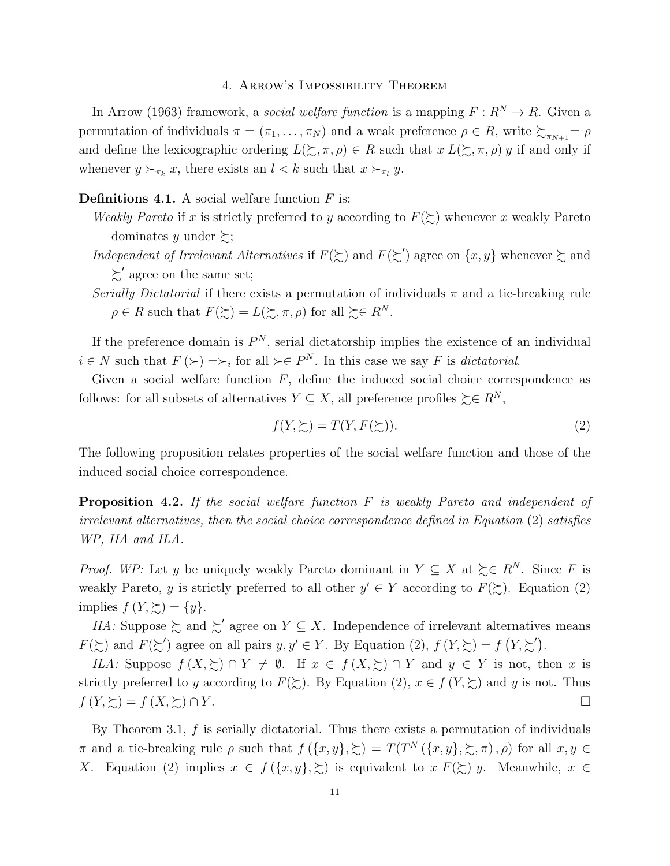# 4. Arrow's Impossibility Theorem

In Arrow (1963) framework, a social welfare function is a mapping  $F: R^N \to R$ . Given a permutation of individuals  $\pi = (\pi_1, \ldots, \pi_N)$  and a weak preference  $\rho \in R$ , write  $\succsim_{\pi_{N+1}} = \rho$ and define the lexicographic ordering  $L(\Sigma, \pi, \rho) \in R$  such that  $x L(\Sigma, \pi, \rho) y$  if and only if whenever  $y \succ_{\pi_k} x$ , there exists an  $l < k$  such that  $x \succ_{\pi_l} y$ .

# **Definitions 4.1.** A social welfare function  $F$  is:

- Weakly Pareto if x is strictly preferred to y according to  $F(\succsim)$  whenever x weakly Pareto dominates y under  $\succsim$ ;
- Independent of Irrelevant Alternatives if  $F(\gtrsim)$  and  $F(\gtrsim')$  agree on  $\{x, y\}$  whenever  $\gtrsim$  and  $\succsim'$  agree on the same set;
- Serially Dictatorial if there exists a permutation of individuals  $\pi$  and a tie-breaking rule  $\rho \in R$  such that  $F(\succsim) = L(\succsim, \pi, \rho)$  for all  $\succsim \in R^N$ .

If the preference domain is  $P^N$ , serial dictatorship implies the existence of an individual  $i \in N$  such that  $F(\succ) = \succ_i$  for all  $\succ \in P^N$ . In this case we say F is dictatorial.

Given a social welfare function  $F$ , define the induced social choice correspondence as follows: for all subsets of alternatives  $Y \subseteq X$ , all preference profiles  $\succeq \in R^N$ ,

$$
f(Y, \succsim) = T(Y, F(\succsim)).\tag{2}
$$

The following proposition relates properties of the social welfare function and those of the induced social choice correspondence.

**Proposition 4.2.** If the social welfare function  $F$  is weakly Pareto and independent of irrelevant alternatives, then the social choice correspondence defined in Equation (2) satisfies WP, IIA and ILA.

*Proof.* WP: Let y be uniquely weakly Pareto dominant in  $Y \subseteq X$  at  $\succeq \in R^N$ . Since F is weakly Pareto, y is strictly preferred to all other  $y' \in Y$  according to  $F(\gtrsim)$ . Equation (2) implies  $f(Y, \geq) = \{y\}.$ 

*IIA*: Suppose  $\succsim$  and  $\succsim'$  agree on  $Y \subseteq X$ . Independence of irrelevant alternatives means  $F(\succsim)$  and  $F(\succsim')$  agree on all pairs  $y, y' \in Y$ . By Equation (2),  $f(Y, \succsim) = f(Y, \succsim')$ .

ILA: Suppose  $f(X,\succsim) \cap Y \neq \emptyset$ . If  $x \in f(X,\succsim) \cap Y$  and  $y \in Y$  is not, then x is strictly preferred to y according to  $F(\succsim)$ . By Equation (2),  $x \in f(Y, \succsim)$  and y is not. Thus  $f(Y,\succsim) = f(X,\succsim) \cap Y$ .

By Theorem 3.1,  $f$  is serially dictatorial. Thus there exists a permutation of individuals π and a tie-breaking rule  $\rho$  such that  $f(\lbrace x,y \rbrace,\succsim) = T(T^N(\lbrace x,y \rbrace,\succsim,\pi),\rho)$  for all  $x, y \in$ X. Equation (2) implies  $x \in f(\{x, y\}, \geq)$  is equivalent to  $x F(\geq) y$ . Meanwhile,  $x \in$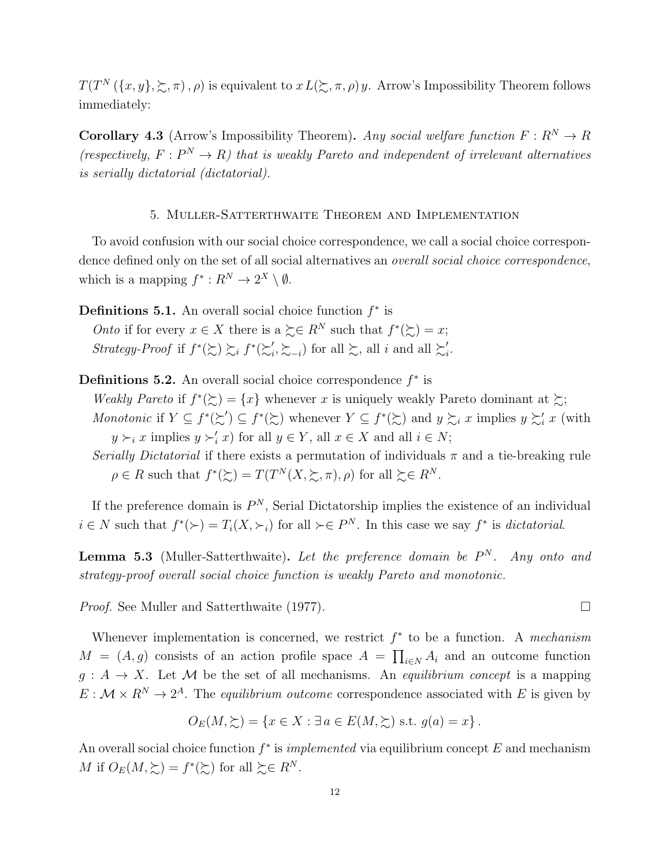$T(T^N(\lbrace x,y \rbrace,\succsim,\pi),\rho)$  is equivalent to  $x L(\succsim,\pi,\rho) y$ . Arrow's Impossibility Theorem follows immediately:

**Corollary 4.3** (Arrow's Impossibility Theorem). Any social welfare function  $F: R^N \to R$ (respectively,  $F: P^N \to R$ ) that is weakly Pareto and independent of irrelevant alternatives is serially dictatorial (dictatorial).

### 5. Muller-Satterthwaite Theorem and Implementation

To avoid confusion with our social choice correspondence, we call a social choice correspondence defined only on the set of all social alternatives an overall social choice correspondence, which is a mapping  $f^*: R^N \to 2^X \setminus \emptyset$ .

**Definitions 5.1.** An overall social choice function  $f^*$  is

*Onto* if for every  $x \in X$  there is a  $\succeq \in R^N$  such that  $f^*(\succeq) = x$ ; *Strategy-Proof* if  $f^*(\succsim) \succsim_i f^*(\succsim'_i)$  $i, \sum_{i}$  for all  $\sum_{i}$ , all i and all  $\sum_{i}$  $\frac{i}{i}$ .

**Definitions 5.2.** An overall social choice correspondence  $f^*$  is

Weakly Pareto if  $f^*(\succsim) = \{x\}$  whenever x is uniquely weakly Pareto dominant at  $\succsim$ ; Monotonic if  $Y \subseteq f^*(\succsim') \subseteq f^*(\succsim)$  whenever  $Y \subseteq f^*(\succsim)$  and  $y \succsim_i x$  implies  $y \succsim'_i x$  (with  $y \succ_i x$  implies  $y \succ'_i x$  for all  $y \in Y$ , all  $x \in X$  and all  $i \in N$ ;

Serially Dictatorial if there exists a permutation of individuals  $\pi$  and a tie-breaking rule  $\rho \in R$  such that  $f^*(\succsim) = T(T^N(X, \succsim, \pi), \rho)$  for all  $\succeq \in R^N$ .

If the preference domain is  $P^N$ , Serial Dictatorship implies the existence of an individual  $i \in N$  such that  $f^*(\succ) = T_i(X, \succ_i)$  for all  $\succ \in P^N$ . In this case we say  $f^*$  is *dictatorial*.

**Lemma 5.3** (Muller-Satterthwaite). Let the preference domain be  $P<sup>N</sup>$ . Any onto and strategy-proof overall social choice function is weakly Pareto and monotonic.

*Proof.* See Muller and Satterthwaite (1977). □

Whenever implementation is concerned, we restrict  $f^*$  to be a function. A mechanism  $M = (A, g)$  consists of an action profile space  $A = \prod_{i \in N} A_i$  and an outcome function  $g: A \to X$ . Let M be the set of all mechanisms. An equilibrium concept is a mapping  $E: \mathcal{M} \times \mathbb{R}^N \to 2^A$ . The equilibrium outcome correspondence associated with E is given by

$$
O_E(M, \Sigma) = \{ x \in X : \exists a \in E(M, \Sigma) \text{ s.t. } g(a) = x \}.
$$

An overall social choice function  $f^*$  is *implemented* via equilibrium concept E and mechanism M if  $O_E(M, \gtrsim) = f^*(\gtrsim)$  for all  $\gtrsim \in R^N$ .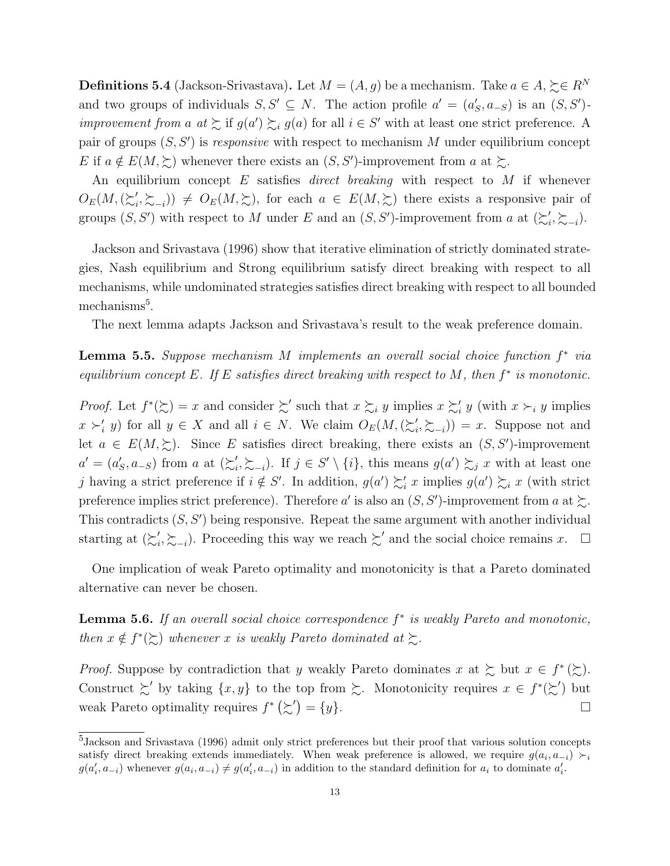**Definitions 5.4** (Jackson-Srivastava). Let  $M = (A, g)$  be a mechanism. Take  $a \in A$ ,  $\succeq \in R^N$ and two groups of individuals  $S, S' \subseteq N$ . The action profile  $a' = (a_S', a_{-S})$  is an  $(S, S')$ *improvement from a at*  $\sum$  if  $g(a') \sum_i g(a)$  for all  $i \in S'$  with at least one strict preference. A pair of groups  $(S, S')$  is responsive with respect to mechanism M under equilibrium concept E if  $a \notin E(M, \geq)$  whenever there exists an  $(S, S')$ -improvement from a at  $\geq$ .

An equilibrium concept  $E$  satisfies *direct breaking* with respect to  $M$  if whenever  $O_E(M, (\succsim_i')$  $(i, \succsim_{-i})$   $\neq O_E(M, \succsim)$ , for each  $a \in E(M, \succsim)$  there exists a responsive pair of groups  $(S, S')$  with respect to M under E and an  $(S, S')$ -improvement from a at  $(\succsim'_{i}$  $i', \sum_{i}$ .

Jackson and Srivastava (1996) show that iterative elimination of strictly dominated strategies, Nash equilibrium and Strong equilibrium satisfy direct breaking with respect to all mechanisms, while undominated strategies satisfies direct breaking with respect to all bounded mechanisms<sup>5</sup>.

The next lemma adapts Jackson and Srivastava's result to the weak preference domain.

**Lemma 5.5.** Suppose mechanism M implements an overall social choice function  $f^*$  via equilibrium concept E. If E satisfies direct breaking with respect to M, then  $f^*$  is monotonic.

*Proof.* Let  $f^*(\succsim) = x$  and consider  $\succsim'$  such that  $x \succsim_i y$  implies  $x \succsim'_i y$  (with  $x \succ_i y$  implies  $x \succ_i' y$  for all  $y \in X$  and all  $i \in N$ . We claim  $O_E(M, \langle \succ_i' \rangle)$  $(\sum_{i}^{'} \sum_{i} )$  = x. Suppose not and let  $a \in E(M, \gtrsim)$ . Since E satisfies direct breaking, there exists an  $(S, S')$ -improvement  $a' = (a'_S, a_{-S})$  from a at  $\left(\sum_{i=1}^{S} a_i\right)$  $i, \xi_{-i}$ ). If  $j \in S' \setminus \{i\}$ , this means  $g(a') \xi_j x$  with at least one j having a strict preference if  $i \notin S'$ . In addition,  $g(a') \succsim_i x$  implies  $g(a') \succsim_i x$  (with strict preference implies strict preference). Therefore a' is also an  $(S, S')$ -improvement from a at  $\succsim$ . This contradicts  $(S, S')$  being responsive. Repeat the same argument with another individual starting at  $(\succsim_i')$  $\zeta'$ ,  $\succsim_{-i}$ ). Proceeding this way we reach  $\succsim'$  and the social choice remains x.  $\Box$ 

One implication of weak Pareto optimality and monotonicity is that a Pareto dominated alternative can never be chosen.

**Lemma 5.6.** If an overall social choice correspondence  $f^*$  is weakly Pareto and monotonic, then  $x \notin f^*(\succsim)$  whenever x is weakly Pareto dominated at  $\succsim$ .

*Proof.* Suppose by contradiction that y weakly Pareto dominates x at  $\geq$  but  $x \in f^*(\geq)$ . Construct  $\succsim'$  by taking  $\{x, y\}$  to the top from  $\succsim$ . Monotonicity requires  $x \in f^*(\succsim')$  but weak Pareto optimality requires  $f^*(\succsim') = \{y\}.$ 

<sup>&</sup>lt;sup>5</sup>Jackson and Srivastava (1996) admit only strict preferences but their proof that various solution concepts satisfy direct breaking extends immediately. When weak preference is allowed, we require  $g(a_i, a_{-i}) \succ_i$  $g(a'_i, a_{-i})$  whenever  $g(a_i, a_{-i}) \neq g(a'_i, a_{-i})$  in addition to the standard definition for  $a_i$  to dominate  $a'_i$ .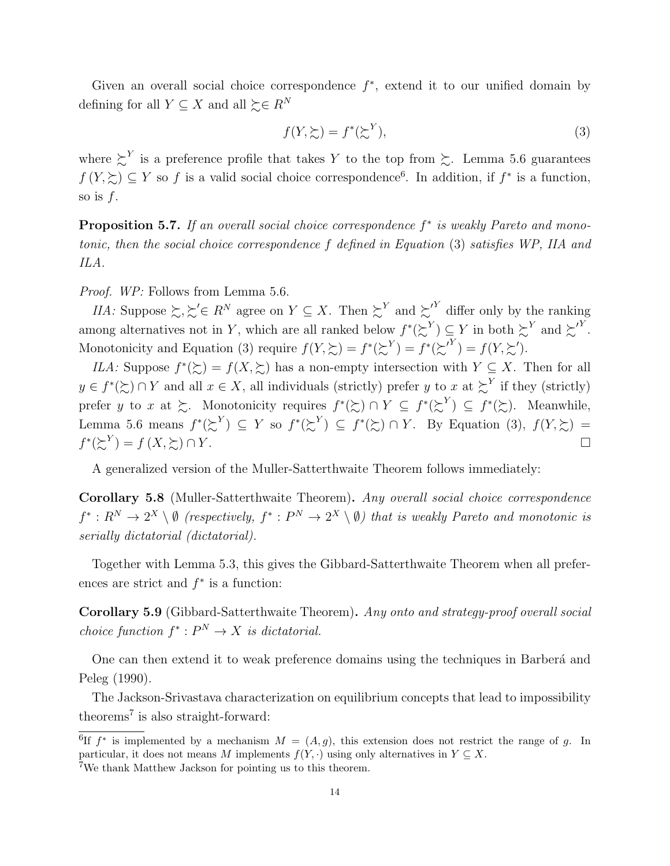Given an overall social choice correspondence  $f^*$ , extend it to our unified domain by defining for all  $Y \subseteq X$  and all  $\succeq \in R^N$ 

$$
f(Y, \succsim) = f^*(\succsim^Y),\tag{3}
$$

where  $\sum^{Y}$  is a preference profile that takes Y to the top from  $\sum$ . Lemma 5.6 guarantees  $f(Y,\succeq) \subseteq Y$  so f is a valid social choice correspondence<sup>6</sup>. In addition, if  $f^*$  is a function, so is  $f$ .

**Proposition 5.7.** If an overall social choice correspondence  $f^*$  is weakly Pareto and monotonic, then the social choice correspondence f defined in Equation (3) satisfies WP, IIA and ILA.

Proof. WP: Follows from Lemma 5.6.

*IIA*: Suppose  $\succsim, \succsim' \in R^N$  agree on  $Y \subseteq X$ . Then  $\succsim^Y$  and  $\succsim^Y$  differ only by the ranking among alternatives not in Y, which are all ranked below  $f^*(\succsim^Y) \subseteq Y$  in both  $\succsim^Y$  and  $\succsim^Y$ . Monotonicity and Equation (3) require  $f(Y, \xi) = f^*(\xi^Y) = f^*(\xi^Y) = f(Y, \xi^T)$ .

*ILA*: Suppose  $f^*(\succsim) = f(X, \succsim)$  has a non-empty intersection with  $Y \subseteq X$ . Then for all  $y \in f^*(\succsim) \cap Y$  and all  $x \in X$ , all individuals (strictly) prefer y to x at  $\succsim^Y$  if they (strictly) prefer y to x at  $\succsim$ . Monotonicity requires  $f^*(\succsim) \cap Y \subseteq f^*(\succsim^Y) \subseteq f^*(\succsim)$ . Meanwhile, Lemma 5.6 means  $f^*(\succsim^Y) \subseteq Y$  so  $f^*(\succsim^Y) \subseteq f^*(\succsim) \cap Y$ . By Equation (3),  $f(Y, \succsim) =$  $f^*(\succsim^Y) = f(X, \succsim) \cap Y.$ 

A generalized version of the Muller-Satterthwaite Theorem follows immediately:

Corollary 5.8 (Muller-Satterthwaite Theorem). Any overall social choice correspondence  $f^*: R^N \to 2^X \setminus \emptyset$  (respectively,  $f^*: P^N \to 2^X \setminus \emptyset$ ) that is weakly Pareto and monotonic is serially dictatorial (dictatorial).

Together with Lemma 5.3, this gives the Gibbard-Satterthwaite Theorem when all preferences are strict and  $f^*$  is a function:

Corollary 5.9 (Gibbard-Satterthwaite Theorem). Any onto and strategy-proof overall social choice function  $f^*: P^N \to X$  is dictatorial.

One can then extend it to weak preference domains using the techniques in Barbera<sup>a</sup> and Peleg (1990).

The Jackson-Srivastava characterization on equilibrium concepts that lead to impossibility theorems<sup>7</sup> is also straight-forward:

<sup>&</sup>lt;sup>6</sup>If  $f^*$  is implemented by a mechanism  $M = (A, g)$ , this extension does not restrict the range of g. In particular, it does not means M implements  $f(Y, \cdot)$  using only alternatives in  $Y \subseteq X$ . <sup>7</sup>We thank Matthew Jackson for pointing us to this theorem.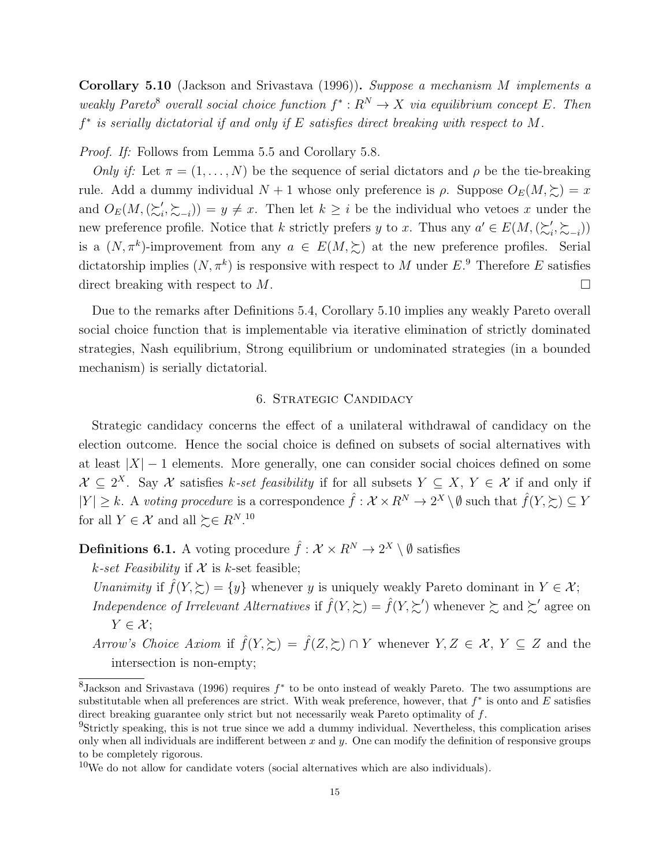Corollary 5.10 (Jackson and Srivastava (1996)). Suppose a mechanism M implements a weakly Pareto<sup>8</sup> overall social choice function  $f^*: R^N \to X$  via equilibrium concept E. Then f<sup>\*</sup> is serially dictatorial if and only if E satisfies direct breaking with respect to M.

Proof. If: Follows from Lemma 5.5 and Corollary 5.8.

Only if: Let  $\pi = (1, \ldots, N)$  be the sequence of serial dictators and  $\rho$  be the tie-breaking rule. Add a dummy individual  $N + 1$  whose only preference is  $\rho$ . Suppose  $O_E(M, \gtrsim) = x$ and  $O_E(M, (\succsim_i')$  $(i, \sum_{i} i) = y \neq x$ . Then let  $k \geq i$  be the individual who vetoes x under the new preference profile. Notice that k strictly prefers y to x. Thus any  $a' \in E(M, (\succcurlyeq'_i)$  $'_{i}, \succsim_{-i})$ is a  $(N, \pi^k)$ -improvement from any  $a \in E(M, \Sigma)$  at the new preference profiles. Serial dictatorship implies  $(N, \pi^k)$  is responsive with respect to M under E.<sup>9</sup> Therefore E satisfies direct breaking with respect to M.

Due to the remarks after Definitions 5.4, Corollary 5.10 implies any weakly Pareto overall social choice function that is implementable via iterative elimination of strictly dominated strategies, Nash equilibrium, Strong equilibrium or undominated strategies (in a bounded mechanism) is serially dictatorial.

### 6. Strategic Candidacy

Strategic candidacy concerns the effect of a unilateral withdrawal of candidacy on the election outcome. Hence the social choice is defined on subsets of social alternatives with at least  $|X| - 1$  elements. More generally, one can consider social choices defined on some  $\mathcal{X} \subseteq 2^X$ . Say X satisfies k-set feasibility if for all subsets  $Y \subseteq X$ ,  $Y \in \mathcal{X}$  if and only if  $|Y| \geq k$ . A voting procedure is a correspondence  $\hat{f}: \mathcal{X} \times R^N \to 2^X \setminus \emptyset$  such that  $\hat{f}(Y, \succcurlyeq) \subseteq Y$ for all  $Y \in \mathcal{X}$  and all  $\succeq \in R^{N}$ .<sup>10</sup>

**Definitions 6.1.** A voting procedure  $\hat{f}: \mathcal{X} \times \mathbb{R}^N \to 2^X \setminus \emptyset$  satisfies

k-set Feasibility if  $X$  is k-set feasible;

Unanimity if  $\hat{f}(Y, \geq) = \{y\}$  whenever y is uniquely weakly Pareto dominant in  $Y \in \mathcal{X}$ ; Independence of Irrelevant Alternatives if  $\hat{f}(Y,\succsim) = \hat{f}(Y,\succsim')$  whenever  $\succsim$  and  $\succsim'$  agree on  $Y \in \mathcal{X}$ ;

Arrow's Choice Axiom if  $\hat{f}(Y,\succsim) = \hat{f}(Z,\succsim) \cap Y$  whenever  $Y, Z \in \mathcal{X}, Y \subseteq Z$  and the intersection is non-empty;

 ${}^{8}$ Jackson and Srivastava (1996) requires  $f^*$  to be onto instead of weakly Pareto. The two assumptions are substitutable when all preferences are strict. With weak preference, however, that  $f^*$  is onto and E satisfies direct breaking guarantee only strict but not necessarily weak Pareto optimality of f.

<sup>9</sup>Strictly speaking, this is not true since we add a dummy individual. Nevertheless, this complication arises only when all individuals are indifferent between x and y. One can modify the definition of responsive groups to be completely rigorous.

<sup>&</sup>lt;sup>10</sup>We do not allow for candidate voters (social alternatives which are also individuals).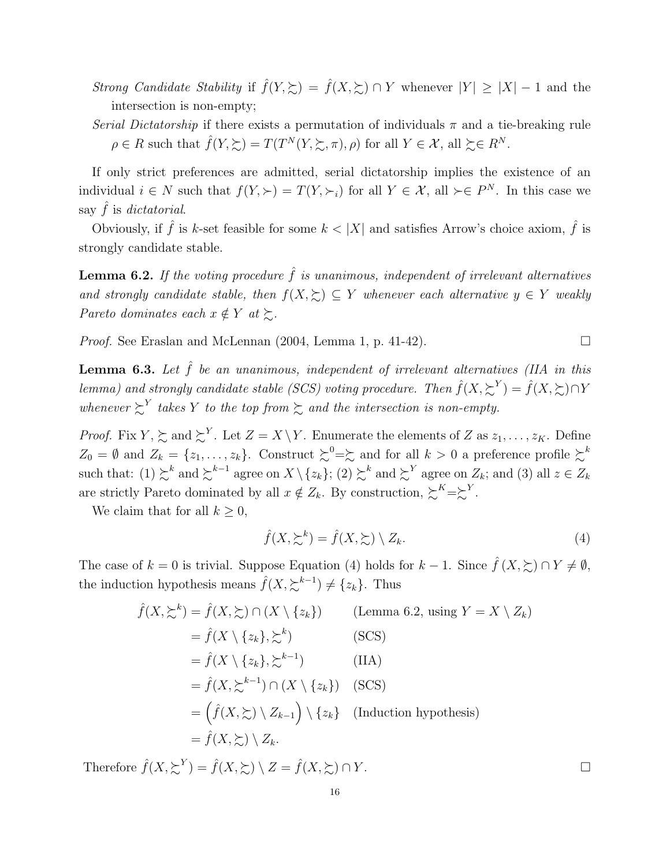- Strong Candidate Stability if  $\hat{f}(Y,\succsim) = \hat{f}(X,\succsim) \cap Y$  whenever  $|Y| \geq |X| 1$  and the intersection is non-empty;
- Serial Dictatorship if there exists a permutation of individuals  $\pi$  and a tie-breaking rule  $\rho \in R$  such that  $\hat{f}(Y, \succsim) = T(T^N(Y, \succsim, \pi), \rho)$  for all  $Y \in \mathcal{X}$ , all  $\succeq \in R^N$ .

If only strict preferences are admitted, serial dictatorship implies the existence of an individual  $i \in N$  such that  $f(Y, \succ) = T(Y, \succ_i)$  for all  $Y \in \mathcal{X}$ , all  $\succ \in P^N$ . In this case we say  $f$  is dictatorial.

Obviously, if  $\hat{f}$  is k-set feasible for some  $k < |X|$  and satisfies Arrow's choice axiom,  $\hat{f}$  is strongly candidate stable.

**Lemma 6.2.** If the voting procedure  $\hat{f}$  is unanimous, independent of irrelevant alternatives and strongly candidate stable, then  $f(X, \sum) \subseteq Y$  whenever each alternative  $y \in Y$  weakly Pareto dominates each  $x \notin Y$  at  $\succsim$ .

*Proof.* See Eraslan and McLennan  $(2004, \text{Lemma 1, p. } 41-42)$ .

**Lemma 6.3.** Let  $\hat{f}$  be an unanimous, independent of irrelevant alternatives (IIA in this lemma) and strongly candidate stable (SCS) voting procedure. Then  $\hat{f}(X, \sum^{Y}) = \hat{f}(X, \sum) \cap Y$ whenever  $\sum^{Y}$  takes Y to the top from  $\sum$  and the intersection is non-empty.

*Proof.* Fix  $Y, \succeq$  and  $\succeq^{Y}$ . Let  $Z = X \setminus Y$ . Enumerate the elements of Z as  $z_1, \ldots, z_K$ . Define  $Z_0 = \emptyset$  and  $Z_k = \{z_1, \ldots, z_k\}$ . Construct  $\succsim^0 = \succeq$  and for all  $k > 0$  a preference profile  $\succsim^k$ such that:  $(1) \succsim^{k}$  and  $\succsim^{k-1}$  agree on  $X \setminus \{z_k\}$ ;  $(2) \succsim^{k}$  and  $\succsim^{Y}$  agree on  $Z_k$ ; and  $(3)$  all  $z \in Z_k$ are strictly Pareto dominated by all  $x \notin Z_k$ . By construction,  $\sum K = \sum Y$ .

We claim that for all  $k \geq 0$ ,

$$
\hat{f}(X, \sum^{k}) = \hat{f}(X, \sum) \setminus Z_{k}.
$$
\n(4)

The case of  $k = 0$  is trivial. Suppose Equation (4) holds for  $k - 1$ . Since  $\hat{f}(X, \geq) \cap Y \neq \emptyset$ , the induction hypothesis means  $\hat{f}(X, \succsim^{k-1}) \neq \{z_k\}$ . Thus

$$
\hat{f}(X, \succsim^{k}) = \hat{f}(X, \succsim) \cap (X \setminus \{z_{k}\}) \qquad \text{(Lemma 6.2, using } Y = X \setminus Z_{k})
$$
\n
$$
= \hat{f}(X \setminus \{z_{k}\}, \succsim^{k}) \qquad \text{(SCS)}
$$
\n
$$
= \hat{f}(X \setminus \{z_{k}\}, \succsim^{k-1}) \qquad \text{(IIA)}
$$
\n
$$
= \hat{f}(X, \succsim^{k-1}) \cap (X \setminus \{z_{k}\}) \qquad \text{(SCS)}
$$
\n
$$
= \left(\hat{f}(X, \succsim) \setminus Z_{k-1}\right) \setminus \{z_{k}\} \qquad \text{(Induction hypothesis)}
$$
\n
$$
= \hat{f}(X, \succsim) \setminus Z_{k}.
$$

Therefore  $\hat{f}(X, \sum^{Y}) = \hat{f}(X, \sum) \setminus Z = \hat{f}(X, \sum) \cap Y$ .

16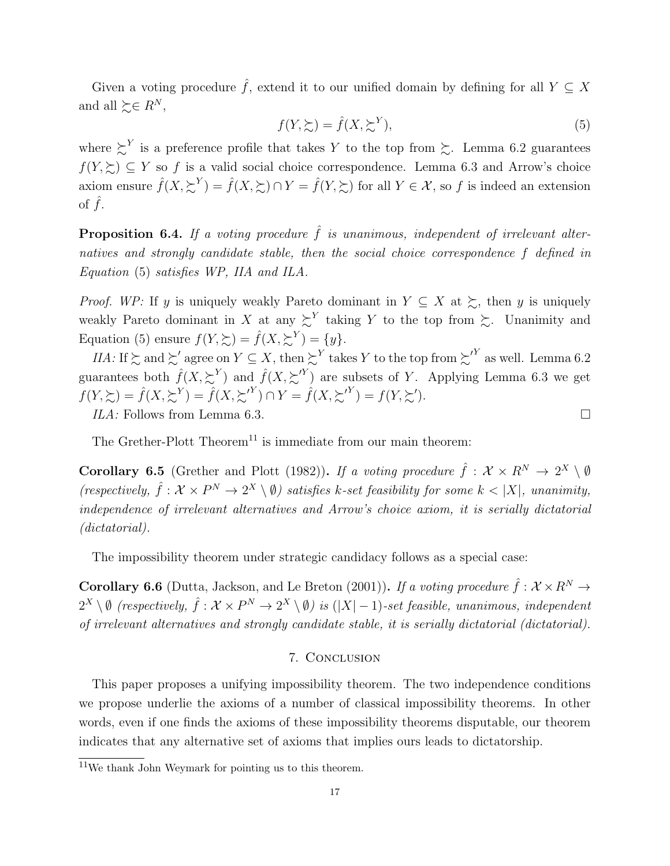Given a voting procedure  $\hat{f}$ , extend it to our unified domain by defining for all  $Y \subseteq X$ and all  $\succeq \in R^N$ ,

$$
f(Y, \succsim) = \hat{f}(X, \succsim^Y),\tag{5}
$$

where  $\sum^{Y}$  is a preference profile that takes Y to the top from  $\sum$ . Lemma 6.2 guarantees  $f(Y, \succeq) \subseteq Y$  so f is a valid social choice correspondence. Lemma 6.3 and Arrow's choice axiom ensure  $\hat{f}(X, \sum^Y) = \hat{f}(X, \sum) \cap Y = \hat{f}(Y, \sum)$  for all  $Y \in \mathcal{X}$ , so f is indeed an extension of  $f$ .

**Proposition 6.4.** If a voting procedure  $\hat{f}$  is unanimous, independent of irrelevant alternatives and strongly candidate stable, then the social choice correspondence f defined in Equation (5) satisfies WP, IIA and ILA.

*Proof.* WP: If y is uniquely weakly Pareto dominant in  $Y \subseteq X$  at  $\succsim$ , then y is uniquely weakly Pareto dominant in X at any  $\sum^{Y}$  taking Y to the top from  $\sum$ . Unanimity and Equation (5) ensure  $f(Y, \succsim) = \hat{f}(X, \succsim^Y) = \{y\}.$ 

IIA: If  $\succsim$  and  $\succsim'$  agree on  $Y \subseteq X$ , then  $\succsim^{Y}$  takes Y to the top from  $\succsim^{Y}$  as well. Lemma 6.2 guarantees both  $\hat{f}(X, \sum^{Y})$  and  $\hat{f}(X, \sum^{Y})$  are subsets of Y. Applying Lemma 6.3 we get  $f(Y, \succsim) = \hat{f}(X, \succsim^Y) = \hat{f}(X, \succsim^Y) \cap Y = \hat{f}(X, \succsim^Y) = f(Y, \succsim').$ ILA: Follows from Lemma 6.3.

The Grether-Plott Theorem<sup>11</sup> is immediate from our main theorem:

**Corollary 6.5** (Grether and Plott (1982)). If a voting procedure  $\hat{f}: \mathcal{X} \times \mathbb{R}^N \to 2^X \setminus \emptyset$ (respectively,  $\hat{f}: \mathcal{X} \times P^N \to 2^X \setminus \emptyset$ ) satisfies k-set feasibility for some  $k < |X|$ , unanimity, independence of irrelevant alternatives and Arrow's choice axiom, it is serially dictatorial (dictatorial).

The impossibility theorem under strategic candidacy follows as a special case:

**Corollary 6.6** (Dutta, Jackson, and Le Breton (2001)). If a voting procedure  $\hat{f}: \mathcal{X} \times R^N \to$  $2^X \setminus \emptyset$  (respectively,  $\hat{f}: \mathcal{X} \times P^N \to 2^X \setminus \emptyset$ ) is  $(|X|-1)$ -set feasible, unanimous, independent of irrelevant alternatives and strongly candidate stable, it is serially dictatorial (dictatorial).

#### 7. Conclusion

This paper proposes a unifying impossibility theorem. The two independence conditions we propose underlie the axioms of a number of classical impossibility theorems. In other words, even if one finds the axioms of these impossibility theorems disputable, our theorem indicates that any alternative set of axioms that implies ours leads to dictatorship.

 $11$ We thank John Weymark for pointing us to this theorem.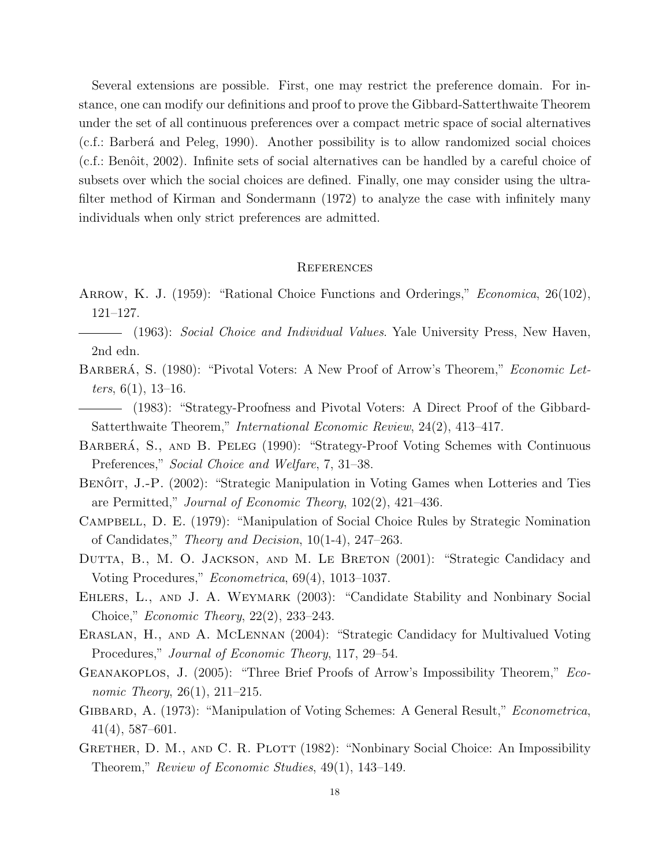Several extensions are possible. First, one may restrict the preference domain. For instance, one can modify our definitions and proof to prove the Gibbard-Satterthwaite Theorem under the set of all continuous preferences over a compact metric space of social alternatives (c.f.: Barber´a and Peleg, 1990). Another possibility is to allow randomized social choices  $(c.f.: Benôit, 2002)$ . Infinite sets of social alternatives can be handled by a careful choice of subsets over which the social choices are defined. Finally, one may consider using the ultrafilter method of Kirman and Sondermann (1972) to analyze the case with infinitely many individuals when only strict preferences are admitted.

#### **REFERENCES**

- ARROW, K. J. (1959): "Rational Choice Functions and Orderings," *Economica*, 26(102), 121–127.
- $\qquad$  (1963): Social Choice and Individual Values. Yale University Press, New Haven, 2nd edn.
- BARBERÁ, S. (1980): "Pivotal Voters: A New Proof of Arrow's Theorem," *Economic Let*ters,  $6(1)$ , 13-16.
- (1983): "Strategy-Proofness and Pivotal Voters: A Direct Proof of the Gibbard-Satterthwaite Theorem," International Economic Review, 24(2), 413–417.
- BARBERÁ, S., AND B. PELEG (1990): "Strategy-Proof Voting Schemes with Continuous Preferences," Social Choice and Welfare, 7, 31–38.
- BENÔIT, J.-P. (2002): "Strategic Manipulation in Voting Games when Lotteries and Ties are Permitted," Journal of Economic Theory, 102(2), 421–436.
- Campbell, D. E. (1979): "Manipulation of Social Choice Rules by Strategic Nomination of Candidates," Theory and Decision, 10(1-4), 247–263.
- DUTTA, B., M. O. JACKSON, AND M. LE BRETON (2001): "Strategic Candidacy and Voting Procedures," Econometrica, 69(4), 1013–1037.
- EHLERS, L., AND J. A. WEYMARK (2003): "Candidate Stability and Nonbinary Social Choice," Economic Theory, 22(2), 233–243.
- Eraslan, H., and A. McLennan (2004): "Strategic Candidacy for Multivalued Voting Procedures," Journal of Economic Theory, 117, 29–54.
- Geanakoplos, J. (2005): "Three Brief Proofs of Arrow's Impossibility Theorem," Economic Theory, 26(1), 211–215.
- GIBBARD, A. (1973): "Manipulation of Voting Schemes: A General Result," *Econometrica*, 41(4), 587–601.
- GRETHER, D. M., AND C. R. PLOTT (1982): "Nonbinary Social Choice: An Impossibility Theorem," Review of Economic Studies, 49(1), 143–149.